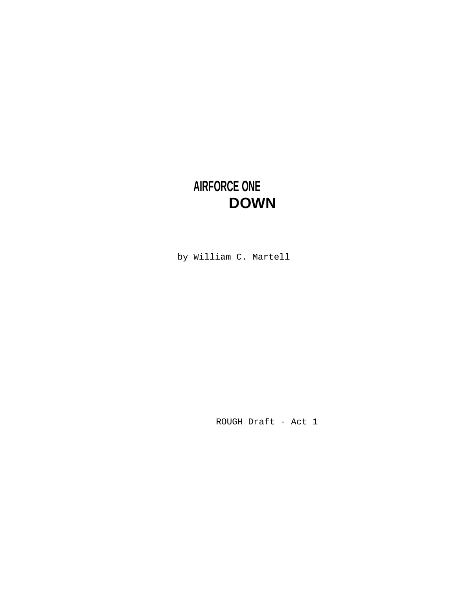# **AIRFORCE ONE DOWN**

by William C. Martell

ROUGH Draft - Act 1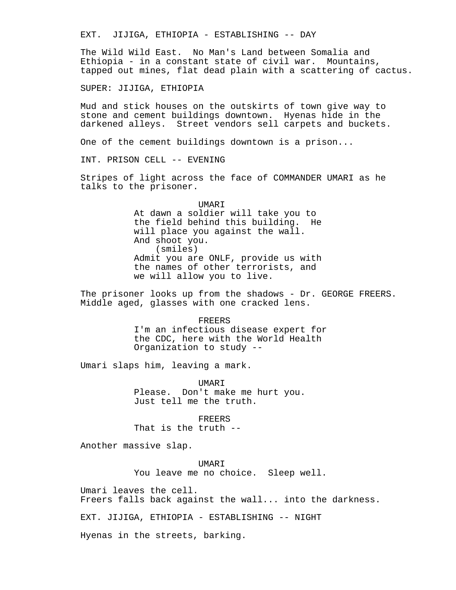EXT. JIJIGA, ETHIOPIA - ESTABLISHING -- DAY

The Wild Wild East. No Man's Land between Somalia and Ethiopia - in a constant state of civil war. Mountains, tapped out mines, flat dead plain with a scattering of cactus.

SUPER: JIJIGA, ETHIOPIA

Mud and stick houses on the outskirts of town give way to stone and cement buildings downtown. Hyenas hide in the darkened alleys. Street vendors sell carpets and buckets.

One of the cement buildings downtown is a prison...

INT. PRISON CELL -- EVENING

Stripes of light across the face of COMMANDER UMARI as he talks to the prisoner.

> UMARI At dawn a soldier will take you to the field behind this building. He will place you against the wall. And shoot you. (smiles) Admit you are ONLF, provide us with the names of other terrorists, and we will allow you to live.

The prisoner looks up from the shadows - Dr. GEORGE FREERS. Middle aged, glasses with one cracked lens.

FREERS

I'm an infectious disease expert for the CDC, here with the World Health Organization to study --

Umari slaps him, leaving a mark.

UMARI Please. Don't make me hurt you. Just tell me the truth.

FREERS That is the truth --

Another massive slap.

UMARI You leave me no choice. Sleep well.

Umari leaves the cell.

Freers falls back against the wall... into the darkness.

EXT. JIJIGA, ETHIOPIA - ESTABLISHING -- NIGHT

Hyenas in the streets, barking.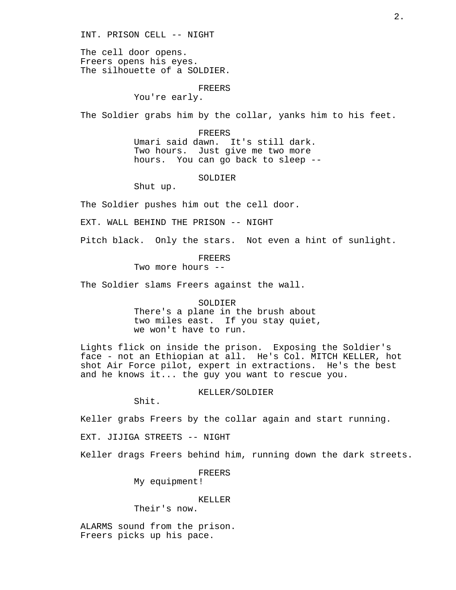INT. PRISON CELL -- NIGHT

The cell door opens. Freers opens his eyes. The silhouette of a SOLDIER.

## FREERS

You're early.

The Soldier grabs him by the collar, yanks him to his feet.

FREERS

Umari said dawn. It's still dark. Two hours. Just give me two more hours. You can go back to sleep --

# SOLDIER

Shut up.

The Soldier pushes him out the cell door.

EXT. WALL BEHIND THE PRISON -- NIGHT

Pitch black. Only the stars. Not even a hint of sunlight.

# FREERS

Two more hours --

The Soldier slams Freers against the wall.

### SOLDIER

There's a plane in the brush about two miles east. If you stay quiet, we won't have to run.

Lights flick on inside the prison. Exposing the Soldier's face - not an Ethiopian at all. He's Col. MITCH KELLER, hot shot Air Force pilot, expert in extractions. He's the best and he knows it... the guy you want to rescue you.

# KELLER/SOLDIER

Shit.

Keller grabs Freers by the collar again and start running.

EXT. JIJIGA STREETS -- NIGHT

Keller drags Freers behind him, running down the dark streets.

FREERS

My equipment!

# KELLER

Their's now.

ALARMS sound from the prison. Freers picks up his pace.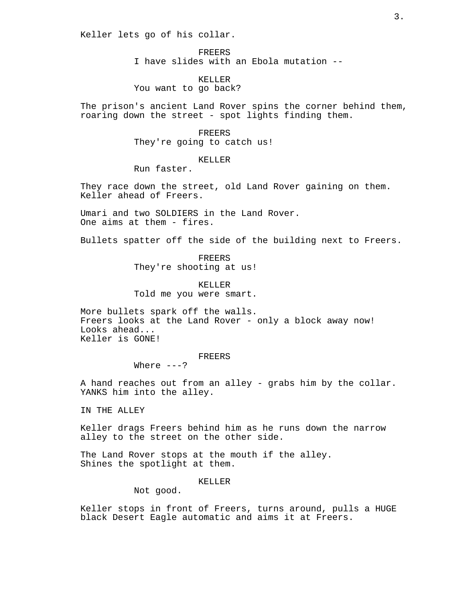Keller lets go of his collar.

FREERS I have slides with an Ebola mutation --

KELLER You want to go back?

The prison's ancient Land Rover spins the corner behind them, roaring down the street - spot lights finding them.

FREERS

They're going to catch us!

# KELLER

Run faster.

They race down the street, old Land Rover gaining on them. Keller ahead of Freers.

Umari and two SOLDIERS in the Land Rover. One aims at them - fires.

Bullets spatter off the side of the building next to Freers.

FREERS They're shooting at us!

KELLER Told me you were smart.

More bullets spark off the walls. Freers looks at the Land Rover - only a block away now! Looks ahead... Keller is GONE!

# FREERS

Where  $---?$ 

A hand reaches out from an alley - grabs him by the collar. YANKS him into the alley.

IN THE ALLEY

Keller drags Freers behind him as he runs down the narrow alley to the street on the other side.

The Land Rover stops at the mouth if the alley. Shines the spotlight at them.

KELLER

Not good.

Keller stops in front of Freers, turns around, pulls a HUGE black Desert Eagle automatic and aims it at Freers.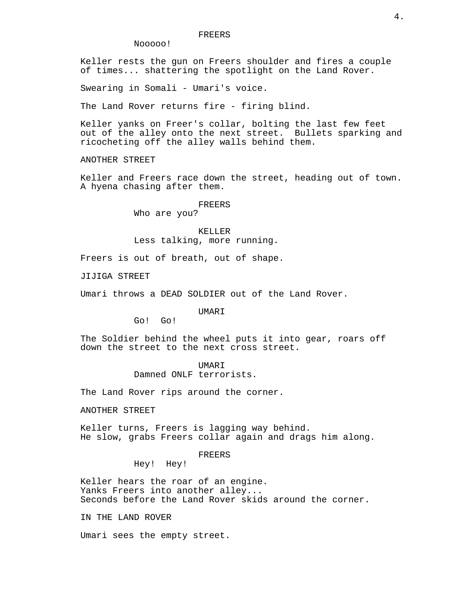Nooooo!

Keller rests the gun on Freers shoulder and fires a couple of times... shattering the spotlight on the Land Rover.

Swearing in Somali - Umari's voice.

The Land Rover returns fire - firing blind.

Keller yanks on Freer's collar, bolting the last few feet out of the alley onto the next street. Bullets sparking and ricocheting off the alley walls behind them.

ANOTHER STREET

Keller and Freers race down the street, heading out of town. A hyena chasing after them.

# FREERS

Who are you?

KELLER Less talking, more running.

Freers is out of breath, out of shape.

JIJIGA STREET

Umari throws a DEAD SOLDIER out of the Land Rover.

UMARI

Go! Go!

The Soldier behind the wheel puts it into gear, roars off down the street to the next cross street.

> UMARI Damned ONLF terrorists.

The Land Rover rips around the corner.

ANOTHER STREET

Keller turns, Freers is lagging way behind. He slow, grabs Freers collar again and drags him along.

# FREERS

Hey! Hey!

Keller hears the roar of an engine. Yanks Freers into another alley... Seconds before the Land Rover skids around the corner.

IN THE LAND ROVER

Umari sees the empty street.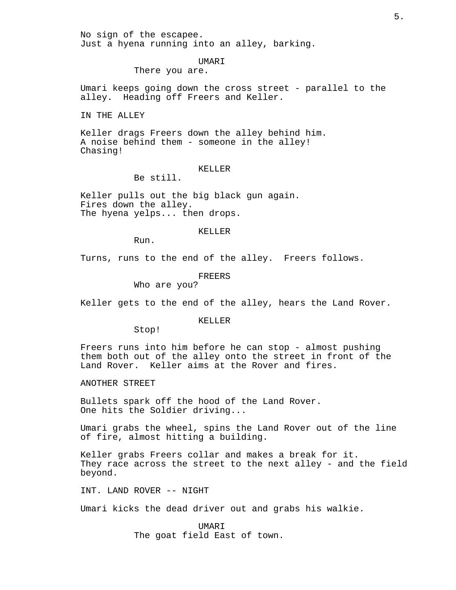No sign of the escapee. Just a hyena running into an alley, barking.

# UMARI

There you are.

Umari keeps going down the cross street - parallel to the alley. Heading off Freers and Keller.

IN THE ALLEY

Keller drags Freers down the alley behind him. A noise behind them - someone in the alley! Chasing!

# KELLER

Be still.

Keller pulls out the big black gun again. Fires down the alley. The hyena yelps... then drops.

#### KELLER

Run.

Turns, runs to the end of the alley. Freers follows.

# FREERS

Who are you?

Keller gets to the end of the alley, hears the Land Rover.

# KELLER

Stop!

Freers runs into him before he can stop - almost pushing them both out of the alley onto the street in front of the Land Rover. Keller aims at the Rover and fires.

ANOTHER STREET

Bullets spark off the hood of the Land Rover. One hits the Soldier driving...

Umari grabs the wheel, spins the Land Rover out of the line of fire, almost hitting a building.

Keller grabs Freers collar and makes a break for it. They race across the street to the next alley - and the field beyond.

INT. LAND ROVER -- NIGHT

Umari kicks the dead driver out and grabs his walkie.

UMARI The goat field East of town.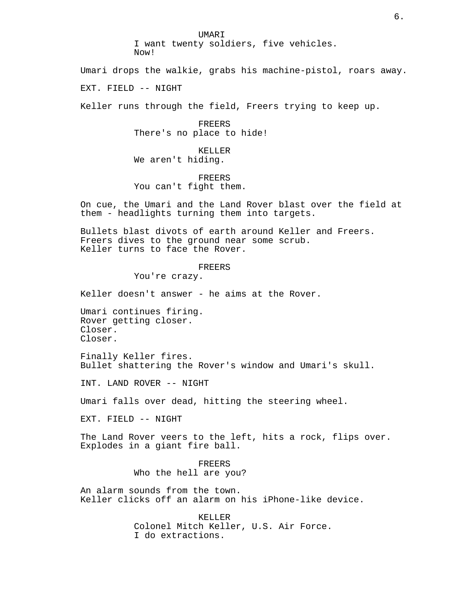UMARI

I want twenty soldiers, five vehicles. Now!

Umari drops the walkie, grabs his machine-pistol, roars away.

EXT. FIELD -- NIGHT

Keller runs through the field, Freers trying to keep up.

FREERS There's no place to hide!

KELLER We aren't hiding.

FREERS You can't fight them.

On cue, the Umari and the Land Rover blast over the field at them - headlights turning them into targets.

Bullets blast divots of earth around Keller and Freers. Freers dives to the ground near some scrub. Keller turns to face the Rover.

FREERS

You're crazy.

Keller doesn't answer - he aims at the Rover.

Umari continues firing. Rover getting closer. Closer. Closer.

Finally Keller fires. Bullet shattering the Rover's window and Umari's skull.

INT. LAND ROVER -- NIGHT

Umari falls over dead, hitting the steering wheel.

EXT. FIELD -- NIGHT

The Land Rover veers to the left, hits a rock, flips over. Explodes in a giant fire ball.

> FREERS Who the hell are you?

An alarm sounds from the town. Keller clicks off an alarm on his iPhone-like device.

> KELLER Colonel Mitch Keller, U.S. Air Force. I do extractions.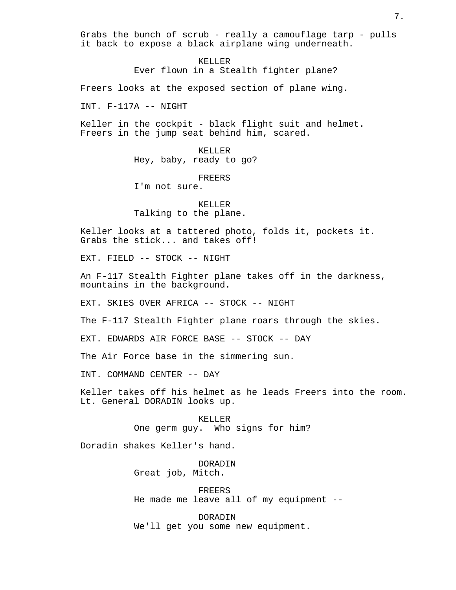Grabs the bunch of scrub - really a camouflage tarp - pulls it back to expose a black airplane wing underneath.

> KELLER Ever flown in a Stealth fighter plane?

Freers looks at the exposed section of plane wing.

INT. F-117A -- NIGHT

Keller in the cockpit - black flight suit and helmet. Freers in the jump seat behind him, scared.

> KELLER Hey, baby, ready to go?

> > FREERS

I'm not sure.

KELLER Talking to the plane.

Keller looks at a tattered photo, folds it, pockets it. Grabs the stick... and takes off!

EXT. FIELD -- STOCK -- NIGHT

An F-117 Stealth Fighter plane takes off in the darkness, mountains in the background.

EXT. SKIES OVER AFRICA -- STOCK -- NIGHT

The F-117 Stealth Fighter plane roars through the skies.

EXT. EDWARDS AIR FORCE BASE -- STOCK -- DAY

The Air Force base in the simmering sun.

INT. COMMAND CENTER -- DAY

Keller takes off his helmet as he leads Freers into the room. Lt. General DORADIN looks up.

> KELLER One germ guy. Who signs for him?

Doradin shakes Keller's hand.

DORADIN Great job, Mitch.

FREERS He made me leave all of my equipment --

DORADIN We'll get you some new equipment. 7.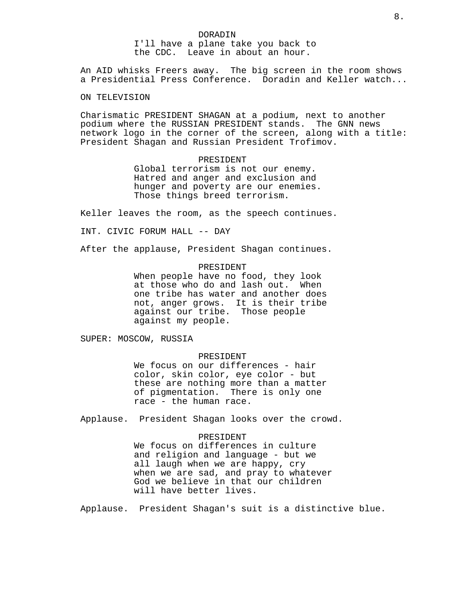DORADIN I'll have a plane take you back to the CDC. Leave in about an hour.

An AID whisks Freers away. The big screen in the room shows a Presidential Press Conference. Doradin and Keller watch...

ON TELEVISION

Charismatic PRESIDENT SHAGAN at a podium, next to another podium where the RUSSIAN PRESIDENT stands. The GNN news network logo in the corner of the screen, along with a title: President Shagan and Russian President Trofimov.

## PRESIDENT

Global terrorism is not our enemy. Hatred and anger and exclusion and hunger and poverty are our enemies. Those things breed terrorism.

Keller leaves the room, as the speech continues.

INT. CIVIC FORUM HALL -- DAY

After the applause, President Shagan continues.

#### PRESIDENT

When people have no food, they look at those who do and lash out. When one tribe has water and another does not, anger grows. It is their tribe against our tribe. Those people against my people.

SUPER: MOSCOW, RUSSIA

## PRESIDENT

We focus on our differences - hair color, skin color, eye color - but these are nothing more than a matter of pigmentation. There is only one race - the human race.

Applause. President Shagan looks over the crowd.

# PRESIDENT

We focus on differences in culture and religion and language - but we all laugh when we are happy, cry when we are sad, and pray to whatever God we believe in that our children will have better lives.

Applause. President Shagan's suit is a distinctive blue.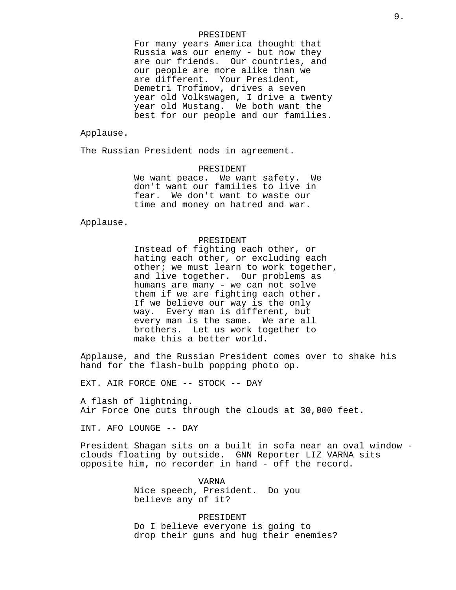#### PRESIDENT

For many years America thought that Russia was our enemy - but now they are our friends. Our countries, and our people are more alike than we are different. Your President, Demetri Trofimov, drives a seven year old Volkswagen, I drive a twenty year old Mustang. We both want the best for our people and our families.

Applause.

The Russian President nods in agreement.

PRESIDENT We want peace. We want safety. We don't want our families to live in fear. We don't want to waste our time and money on hatred and war.

Applause.

# PRESIDENT

Instead of fighting each other, or hating each other, or excluding each other; we must learn to work together, and live together. Our problems as humans are many - we can not solve them if we are fighting each other. If we believe our way is the only way. Every man is different, but every man is the same. We are all brothers. Let us work together to make this a better world.

Applause, and the Russian President comes over to shake his hand for the flash-bulb popping photo op.

EXT. AIR FORCE ONE -- STOCK -- DAY

A flash of lightning. Air Force One cuts through the clouds at 30,000 feet.

INT. AFO LOUNGE -- DAY

President Shagan sits on a built in sofa near an oval window clouds floating by outside. GNN Reporter LIZ VARNA sits opposite him, no recorder in hand - off the record.

> VARNA Nice speech, President. Do you believe any of it?

PRESIDENT Do I believe everyone is going to drop their guns and hug their enemies?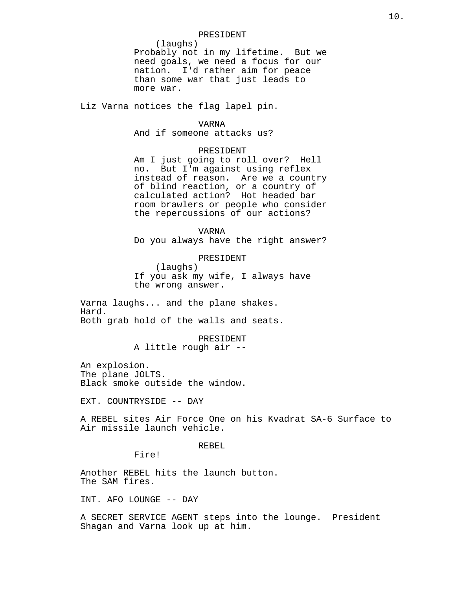#### PRESIDENT

(laughs) Probably not in my lifetime. But we need goals, we need a focus for our nation. I'd rather aim for peace than some war that just leads to more war.

Liz Varna notices the flag lapel pin.

# VARNA

And if someone attacks us?

# PRESIDENT

Am I just going to roll over? Hell no. But I'm against using reflex instead of reason. Are we a country of blind reaction, or a country of calculated action? Hot headed bar room brawlers or people who consider the repercussions of our actions?

VARNA

Do you always have the right answer?

# PRESIDENT

(laughs) If you ask my wife, I always have the wrong answer.

Varna laughs... and the plane shakes. Hard. Both grab hold of the walls and seats.

PRESIDENT

A little rough air --

An explosion. The plane JOLTS. Black smoke outside the window.

EXT. COUNTRYSIDE -- DAY

A REBEL sites Air Force One on his Kvadrat SA-6 Surface to Air missile launch vehicle.

## REBEL

Fire!

Another REBEL hits the launch button. The SAM fires.

INT. AFO LOUNGE -- DAY

A SECRET SERVICE AGENT steps into the lounge. President Shagan and Varna look up at him.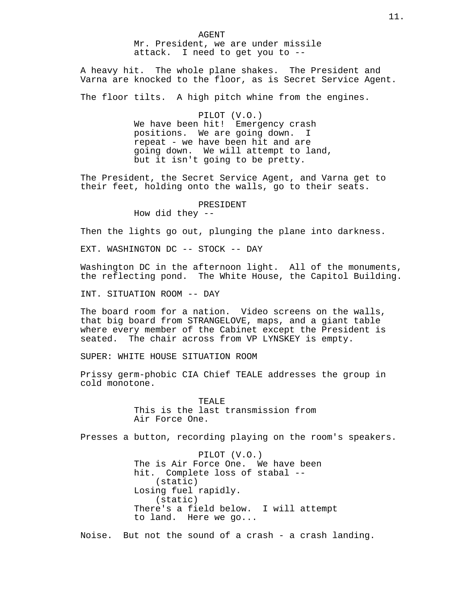AGENT Mr. President, we are under missile attack. I need to get you to --

A heavy hit. The whole plane shakes. The President and Varna are knocked to the floor, as is Secret Service Agent.

The floor tilts. A high pitch whine from the engines.

PILOT (V.O.) We have been hit! Emergency crash positions. We are going down. I repeat - we have been hit and are going down. We will attempt to land, but it isn't going to be pretty.

The President, the Secret Service Agent, and Varna get to their feet, holding onto the walls, go to their seats.

## PRESIDENT

How did they  $-$ 

Then the lights go out, plunging the plane into darkness.

EXT. WASHINGTON DC -- STOCK -- DAY

Washington DC in the afternoon light. All of the monuments, the reflecting pond. The White House, the Capitol Building.

INT. SITUATION ROOM -- DAY

The board room for a nation. Video screens on the walls, that big board from STRANGELOVE, maps, and a giant table where every member of the Cabinet except the President is seated. The chair across from VP LYNSKEY is empty.

SUPER: WHITE HOUSE SITUATION ROOM

Prissy germ-phobic CIA Chief TEALE addresses the group in cold monotone.

> TEALE This is the last transmission from Air Force One.

Presses a button, recording playing on the room's speakers.

PILOT (V.O.) The is Air Force One. We have been hit. Complete loss of stabal -- (static) Losing fuel rapidly. (static) There's a field below. I will attempt to land. Here we go...

Noise. But not the sound of a crash - a crash landing.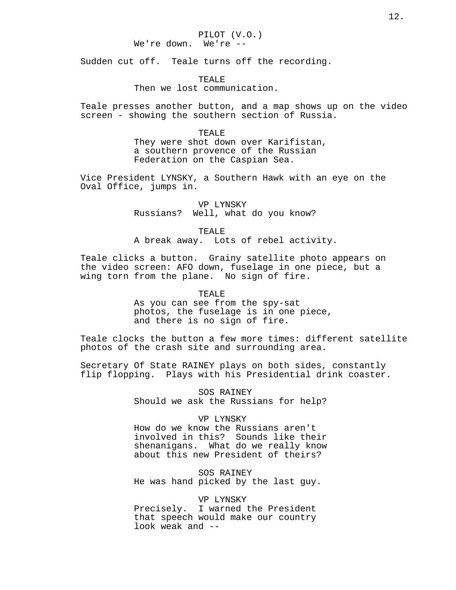Sudden cut off. Teale turns off the recording.

TEALE

Then we lost communication.

Teale presses another button, and a map shows up on the video screen - showing the southern section of Russia.

## TEALE

They were shot down over Karifistan, a southern provence of the Russian Federation on the Caspian Sea.

Vice President LYNSKY, a Southern Hawk with an eye on the Oval Office, jumps in.

> VP LYNSKY Russians? Well, what do you know?

> > TEALE

A break away. Lots of rebel activity.

Teale clicks a button. Grainy satellite photo appears on the video screen: AFO down, fuselage in one piece, but a wing torn from the plane. No sign of fire.

TEALE

As you can see from the spy-sat photos, the fuselage is in one piece, and there is no sign of fire.

Teale clocks the button a few more times: different satellite photos of the crash site and surrounding area.

Secretary Of State RAINEY plays on both sides, constantly flip flopping. Plays with his Presidential drink coaster.

> SOS RAINEY Should we ask the Russians for help?

## VP LYNSKY

How do we know the Russians aren't involved in this? Sounds like their shenanigans. What do we really know about this new President of theirs?

SOS RAINEY He was hand picked by the last guy.

#### VP LYNSKY

Precisely. I warned the President that speech would make our country look weak and --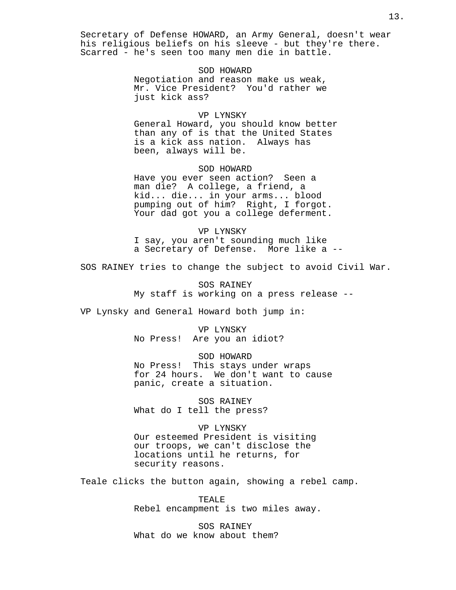Secretary of Defense HOWARD, an Army General, doesn't wear his religious beliefs on his sleeve - but they're there. Scarred - he's seen too many men die in battle.

> SOD HOWARD Negotiation and reason make us weak, Mr. Vice President? You'd rather we just kick ass?

# VP LYNSKY

General Howard, you should know better than any of is that the United States is a kick ass nation. Always has been, always will be.

#### SOD HOWARD

Have you ever seen action? Seen a man die? A college, a friend, a kid... die... in your arms... blood pumping out of him? Right, I forgot. Your dad got you a college deferment.

# VP LYNSKY

I say, you aren't sounding much like a Secretary of Defense. More like a --

SOS RAINEY tries to change the subject to avoid Civil War.

SOS RAINEY My staff is working on a press release --

VP Lynsky and General Howard both jump in:

VP LYNSKY No Press! Are you an idiot?

SOD HOWARD No Press! This stays under wraps for 24 hours. We don't want to cause panic, create a situation.

SOS RAINEY What do I tell the press?

#### VP LYNSKY

Our esteemed President is visiting our troops, we can't disclose the locations until he returns, for security reasons.

Teale clicks the button again, showing a rebel camp.

TEALE Rebel encampment is two miles away.

SOS RAINEY What do we know about them?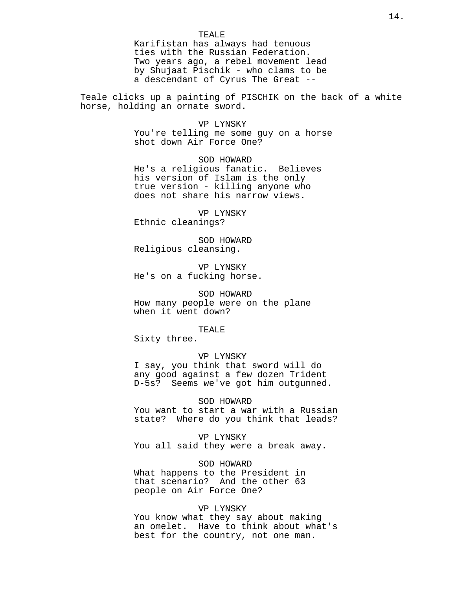#### TEALE

Karifistan has always had tenuous ties with the Russian Federation. Two years ago, a rebel movement lead by Shujaat Pischik - who clams to be a descendant of Cyrus The Great --

Teale clicks up a painting of PISCHIK on the back of a white horse, holding an ornate sword.

#### VP LYNSKY

You're telling me some guy on a horse shot down Air Force One?

SOD HOWARD He's a religious fanatic. Believes his version of Islam is the only true version - killing anyone who does not share his narrow views.

VP LYNSKY Ethnic cleanings?

SOD HOWARD Religious cleansing.

VP LYNSKY He's on a fucking horse.

SOD HOWARD How many people were on the plane when it went down?

#### TEALE

Sixty three.

# VP LYNSKY

I say, you think that sword will do any good against a few dozen Trident D-5s? Seems we've got him outgunned.

## SOD HOWARD

You want to start a war with a Russian state? Where do you think that leads?

#### VP LYNSKY

You all said they were a break away.

SOD HOWARD

What happens to the President in that scenario? And the other 63 people on Air Force One?

# VP LYNSKY

You know what they say about making an omelet. Have to think about what's best for the country, not one man.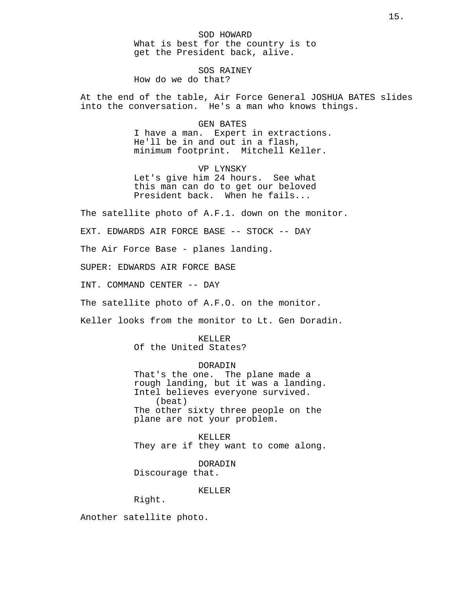SOD HOWARD What is best for the country is to get the President back, alive.

SOS RAINEY How do we do that?

At the end of the table, Air Force General JOSHUA BATES slides into the conversation. He's a man who knows things.

> GEN BATES I have a man. Expert in extractions. He'll be in and out in a flash, minimum footprint. Mitchell Keller.

VP LYNSKY Let's give him 24 hours. See what this man can do to get our beloved President back. When he fails...

The satellite photo of A.F.1. down on the monitor.

EXT. EDWARDS AIR FORCE BASE -- STOCK -- DAY

The Air Force Base - planes landing.

SUPER: EDWARDS AIR FORCE BASE

INT. COMMAND CENTER -- DAY

The satellite photo of A.F.O. on the monitor.

Keller looks from the monitor to Lt. Gen Doradin.

KELLER Of the United States?

DORADIN

That's the one. The plane made a rough landing, but it was a landing. Intel believes everyone survived. (beat) The other sixty three people on the plane are not your problem.

KELLER They are if they want to come along.

DORADIN Discourage that.

KELLER

Right.

Another satellite photo.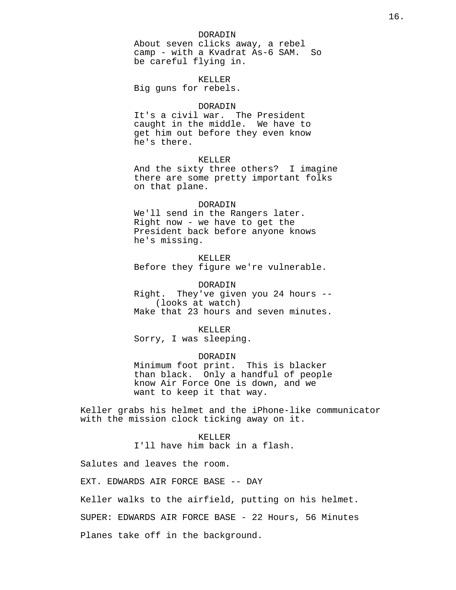## DORADIN

About seven clicks away, a rebel camp - with a Kvadrat As-6 SAM. So be careful flying in.

KELLER Big guns for rebels.

## DORADIN

It's a civil war. The President caught in the middle. We have to get him out before they even know he's there.

# KELLER

And the sixty three others? I imagine there are some pretty important folks on that plane.

## DORADIN

We'll send in the Rangers later. Right now - we have to get the President back before anyone knows he's missing.

# KELLER

Before they figure we're vulnerable.

## DORADIN

Right. They've given you 24 hours -- (looks at watch) Make that 23 hours and seven minutes.

## KELLER

Sorry, I was sleeping.

## DORADIN

Minimum foot print. This is blacker than black. Only a handful of people know Air Force One is down, and we want to keep it that way.

Keller grabs his helmet and the iPhone-like communicator with the mission clock ticking away on it.

## KELLER

I'll have him back in a flash.

Salutes and leaves the room.

EXT. EDWARDS AIR FORCE BASE -- DAY

Keller walks to the airfield, putting on his helmet.

SUPER: EDWARDS AIR FORCE BASE - 22 Hours, 56 Minutes

Planes take off in the background.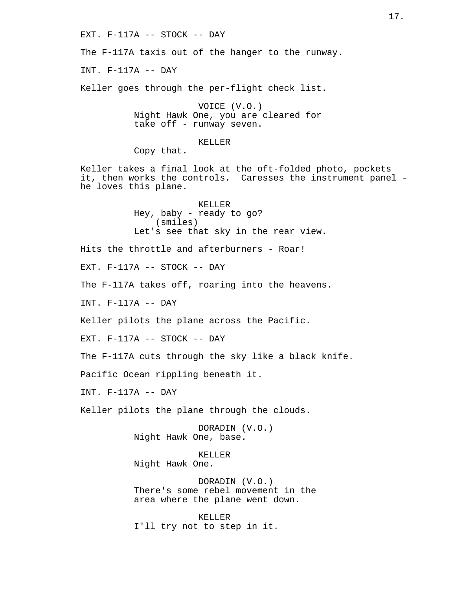EXT. F-117A -- STOCK -- DAY The F-117A taxis out of the hanger to the runway. INT. F-117A -- DAY Keller goes through the per-flight check list. VOICE (V.O.) Night Hawk One, you are cleared for take off - runway seven. KELLER Copy that. Keller takes a final look at the oft-folded photo, pockets it, then works the controls. Caresses the instrument panel he loves this plane. KELLER Hey, baby - ready to go? (smiles) Let's see that sky in the rear view. Hits the throttle and afterburners - Roar! EXT. F-117A -- STOCK -- DAY The F-117A takes off, roaring into the heavens. INT. F-117A -- DAY Keller pilots the plane across the Pacific. EXT. F-117A -- STOCK -- DAY The F-117A cuts through the sky like a black knife. Pacific Ocean rippling beneath it. INT. F-117A -- DAY Keller pilots the plane through the clouds. DORADIN (V.O.) Night Hawk One, base. KELLER Night Hawk One. DORADIN (V.O.) There's some rebel movement in the area where the plane went down. KELLER I'll try not to step in it.

17.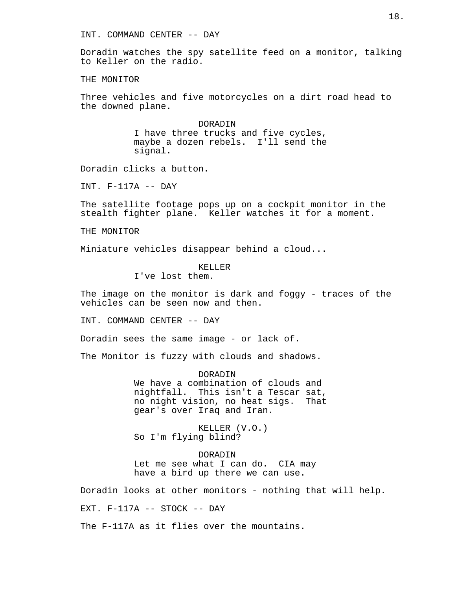INT. COMMAND CENTER -- DAY

Doradin watches the spy satellite feed on a monitor, talking to Keller on the radio.

THE MONITOR

Three vehicles and five motorcycles on a dirt road head to the downed plane.

> DORADIN I have three trucks and five cycles, maybe a dozen rebels. I'll send the signal.

Doradin clicks a button.

INT. F-117A -- DAY

The satellite footage pops up on a cockpit monitor in the stealth fighter plane. Keller watches it for a moment.

THE MONITOR

Miniature vehicles disappear behind a cloud...

KELLER

I've lost them.

The image on the monitor is dark and foggy - traces of the vehicles can be seen now and then.

INT. COMMAND CENTER -- DAY

Doradin sees the same image - or lack of.

The Monitor is fuzzy with clouds and shadows.

**DORADIN** We have a combination of clouds and nightfall. This isn't a Tescar sat, no night vision, no heat sigs. That gear's over Iraq and Iran.

KELLER (V.O.) So I'm flying blind?

DORADIN Let me see what I can do. CIA may have a bird up there we can use.

Doradin looks at other monitors - nothing that will help.

EXT. F-117A -- STOCK -- DAY

The F-117A as it flies over the mountains.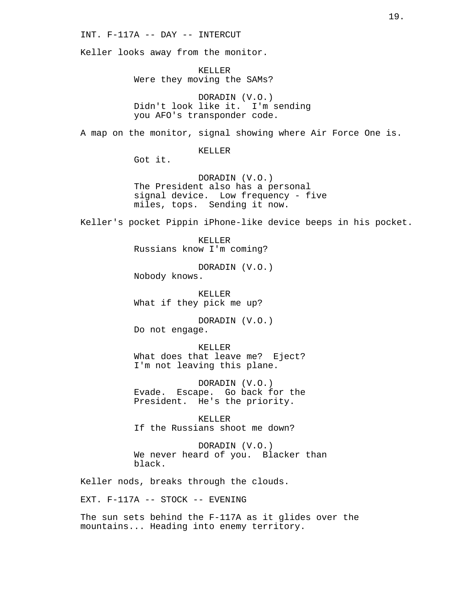INT. F-117A -- DAY -- INTERCUT

Keller looks away from the monitor.

KELLER Were they moving the SAMs?

DORADIN (V.O.) Didn't look like it. I'm sending you AFO's transponder code.

A map on the monitor, signal showing where Air Force One is.

KELLER

Got it.

DORADIN (V.O.) The President also has a personal signal device. Low frequency - five miles, tops. Sending it now.

Keller's pocket Pippin iPhone-like device beeps in his pocket.

KELLER Russians know I'm coming?

DORADIN (V.O.) Nobody knows.

KELLER What if they pick me up?

DORADIN (V.O.) Do not engage.

KELLER What does that leave me? Eject? I'm not leaving this plane.

DORADIN (V.O.) Evade. Escape. Go back for the President. He's the priority.

KELLER If the Russians shoot me down?

DORADIN (V.O.) We never heard of you. Blacker than black.

Keller nods, breaks through the clouds.

EXT. F-117A -- STOCK -- EVENING

The sun sets behind the F-117A as it glides over the mountains... Heading into enemy territory.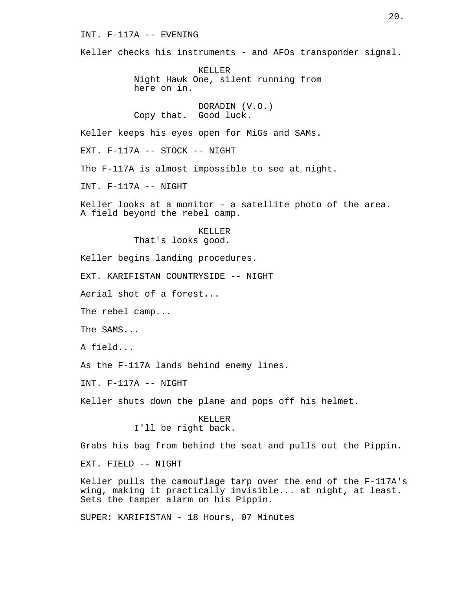INT. F-117A -- EVENING

Keller checks his instruments - and AFOs transponder signal.

KELLER Night Hawk One, silent running from here on in.

DORADIN (V.O.) Copy that. Good luck.

Keller keeps his eyes open for MiGs and SAMs.

EXT. F-117A -- STOCK -- NIGHT

The F-117A is almost impossible to see at night.

INT. F-117A -- NIGHT

Keller looks at a monitor - a satellite photo of the area. A field beyond the rebel camp.

> KELLER That's looks good.

Keller begins landing procedures.

EXT. KARIFISTAN COUNTRYSIDE -- NIGHT

Aerial shot of a forest...

The rebel camp...

The SAMS...

A field...

As the F-117A lands behind enemy lines.

INT. F-117A -- NIGHT

Keller shuts down the plane and pops off his helmet.

KELLER I'll be right back.

Grabs his bag from behind the seat and pulls out the Pippin.

EXT. FIELD -- NIGHT

Keller pulls the camouflage tarp over the end of the F-117A's wing, making it practically invisible... at night, at least. Sets the tamper alarm on his Pippin.

SUPER: KARIFISTAN - 18 Hours, 07 Minutes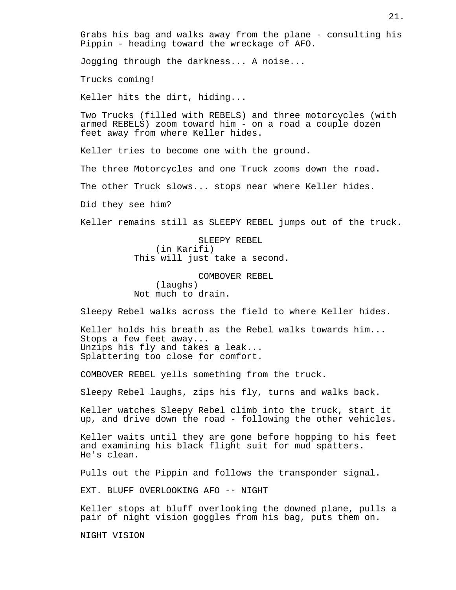Grabs his bag and walks away from the plane - consulting his Pippin - heading toward the wreckage of AFO.

Jogging through the darkness... A noise...

Trucks coming!

Keller hits the dirt, hiding...

Two Trucks (filled with REBELS) and three motorcycles (with armed REBELS) zoom toward him - on a road a couple dozen feet away from where Keller hides.

Keller tries to become one with the ground.

The three Motorcycles and one Truck zooms down the road.

The other Truck slows... stops near where Keller hides.

Did they see him?

Keller remains still as SLEEPY REBEL jumps out of the truck.

SLEEPY REBEL (in Karifi) This will just take a second.

COMBOVER REBEL (laughs) Not much to drain.

Sleepy Rebel walks across the field to where Keller hides.

Keller holds his breath as the Rebel walks towards him... Stops a few feet away... Unzips his fly and takes a leak... Splattering too close for comfort.

COMBOVER REBEL yells something from the truck.

Sleepy Rebel laughs, zips his fly, turns and walks back.

Keller watches Sleepy Rebel climb into the truck, start it up, and drive down the road - following the other vehicles.

Keller waits until they are gone before hopping to his feet and examining his black flight suit for mud spatters. He's clean.

Pulls out the Pippin and follows the transponder signal.

EXT. BLUFF OVERLOOKING AFO -- NIGHT

Keller stops at bluff overlooking the downed plane, pulls a pair of night vision goggles from his bag, puts them on.

NIGHT VISION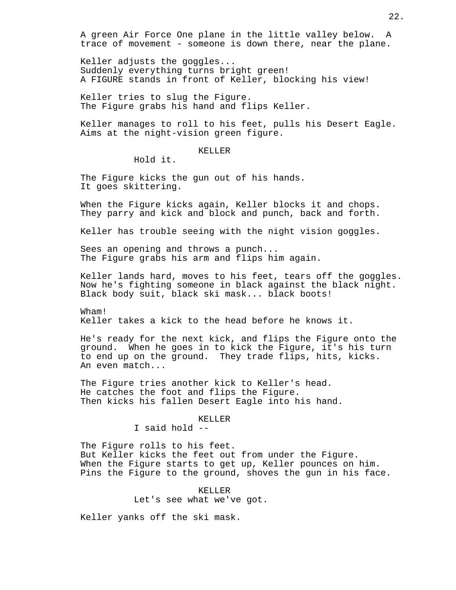A green Air Force One plane in the little valley below. A trace of movement - someone is down there, near the plane.

Keller adjusts the goggles... Suddenly everything turns bright green! A FIGURE stands in front of Keller, blocking his view!

Keller tries to slug the Figure. The Figure grabs his hand and flips Keller.

Keller manages to roll to his feet, pulls his Desert Eagle. Aims at the night-vision green figure.

#### KELLER

Hold it.

The Figure kicks the gun out of his hands. It goes skittering.

When the Figure kicks again, Keller blocks it and chops. They parry and kick and block and punch, back and forth.

Keller has trouble seeing with the night vision goggles.

Sees an opening and throws a punch... The Figure grabs his arm and flips him again.

Keller lands hard, moves to his feet, tears off the goggles. Now he's fighting someone in black against the black night. Black body suit, black ski mask... black boots!

Wham! Keller takes a kick to the head before he knows it.

He's ready for the next kick, and flips the Figure onto the ground. When he goes in to kick the Figure, it's his turn to end up on the ground. They trade flips, hits, kicks. An even match...

The Figure tries another kick to Keller's head. He catches the foot and flips the Figure. Then kicks his fallen Desert Eagle into his hand.

# KELLER

I said hold --

The Figure rolls to his feet. But Keller kicks the feet out from under the Figure. When the Figure starts to get up, Keller pounces on him. Pins the Figure to the ground, shoves the gun in his face.

> KELLER Let's see what we've got.

Keller yanks off the ski mask.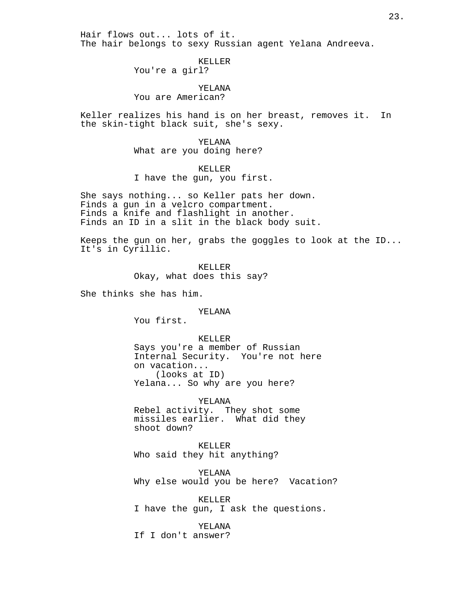Hair flows out... lots of it. The hair belongs to sexy Russian agent Yelana Andreeva.

## KELLER

You're a girl?

## YELANA

You are American?

Keller realizes his hand is on her breast, removes it. In the skin-tight black suit, she's sexy.

YELANA

What are you doing here?

## KELLER

I have the gun, you first.

She says nothing... so Keller pats her down. Finds a gun in a velcro compartment. Finds a knife and flashlight in another. Finds an ID in a slit in the black body suit.

Keeps the gun on her, grabs the goggles to look at the ID... It's in Cyrillic.

> KELLER Okay, what does this say?

She thinks she has him.

## YELANA

You first.

#### KELLER

Says you're a member of Russian Internal Security. You're not here on vacation... (looks at ID) Yelana... So why are you here?

YELANA Rebel activity. They shot some missiles earlier. What did they shoot down?

KELLER Who said they hit anything?

YELANA Why else would you be here? Vacation?

KELLER I have the gun, I ask the questions.

#### YELANA

If I don't answer?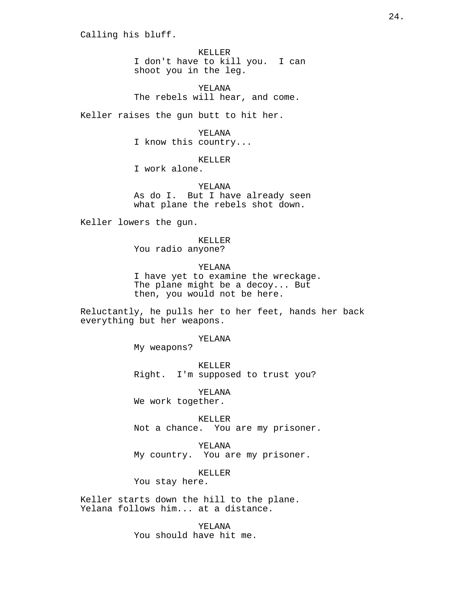Calling his bluff.

KELLER I don't have to kill you. I can shoot you in the leg.

YELANA The rebels will hear, and come.

Keller raises the gun butt to hit her.

YELANA

I know this country...

KELLER

I work alone.

YELANA As do I. But I have already seen what plane the rebels shot down.

Keller lowers the gun.

KELLER You radio anyone?

YELANA I have yet to examine the wreckage. The plane might be a decoy... But then, you would not be here.

Reluctantly, he pulls her to her feet, hands her back everything but her weapons.

YELANA

My weapons?

KELLER Right. I'm supposed to trust you?

YELANA We work together.

KELLER Not a chance. You are my prisoner.

YELANA My country. You are my prisoner.

KELLER

You stay here.

Keller starts down the hill to the plane. Yelana follows him... at a distance.

> YELANA You should have hit me.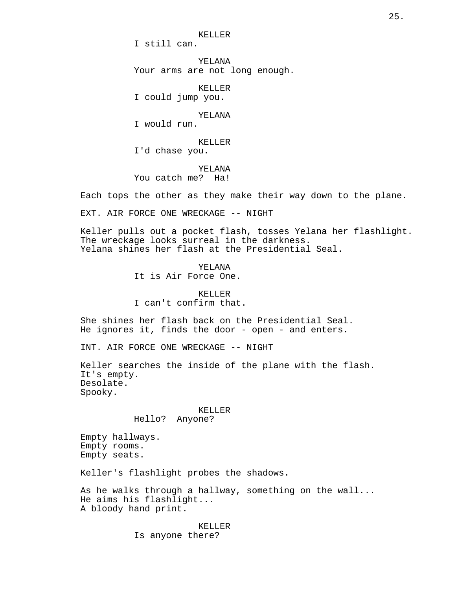KELLER

I still can.

YELANA Your arms are not long enough.

KELLER I could jump you.

YELANA

I would run.

KELLER I'd chase you.

YELANA You catch me? Ha!

Each tops the other as they make their way down to the plane.

EXT. AIR FORCE ONE WRECKAGE -- NIGHT

Keller pulls out a pocket flash, tosses Yelana her flashlight. The wreckage looks surreal in the darkness. Yelana shines her flash at the Presidential Seal.

YELANA

It is Air Force One.

KELLER I can't confirm that.

She shines her flash back on the Presidential Seal. He ignores it, finds the door - open - and enters.

INT. AIR FORCE ONE WRECKAGE -- NIGHT

Keller searches the inside of the plane with the flash. It's empty. Desolate. Spooky.

#### KELLER

Hello? Anyone?

Empty hallways. Empty rooms. Empty seats.

Keller's flashlight probes the shadows.

As he walks through a hallway, something on the wall... He aims his flashlight... A bloody hand print.

> KELLER Is anyone there?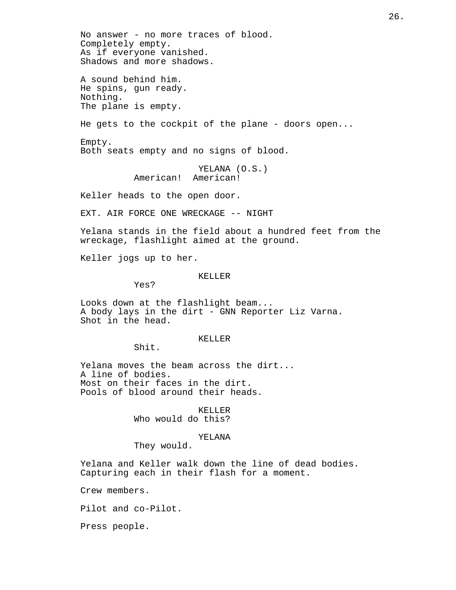No answer - no more traces of blood. Completely empty. As if everyone vanished. Shadows and more shadows. A sound behind him. He spins, gun ready. Nothing. The plane is empty. He gets to the cockpit of the plane - doors open... Empty. Both seats empty and no signs of blood. YELANA (O.S.) American! American! Keller heads to the open door. EXT. AIR FORCE ONE WRECKAGE -- NIGHT Yelana stands in the field about a hundred feet from the wreckage, flashlight aimed at the ground. Keller jogs up to her. KELLER Yes? Looks down at the flashlight beam... A body lays in the dirt - GNN Reporter Liz Varna. Shot in the head. KELLER Shit. Yelana moves the beam across the dirt... A line of bodies. Most on their faces in the dirt. Pools of blood around their heads. KELLER Who would do this? YELANA They would. Yelana and Keller walk down the line of dead bodies. Capturing each in their flash for a moment.

Crew members.

Pilot and co-Pilot.

Press people.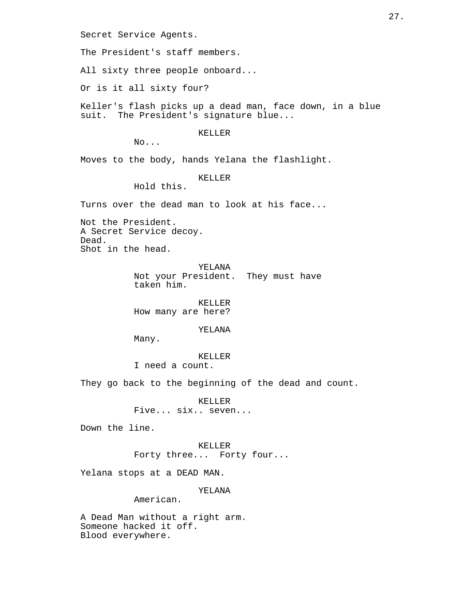Secret Service Agents.

The President's staff members.

All sixty three people onboard...

Or is it all sixty four?

Keller's flash picks up a dead man, face down, in a blue suit. The President's signature blue...

# KELLER

No...

Moves to the body, hands Yelana the flashlight.

# KELLER

Hold this.

Turns over the dead man to look at his face...

Not the President. A Secret Service decoy. Dead. Shot in the head.

## YELANA

Not your President. They must have taken him.

KELLER How many are here?

## YELANA

Many.

KELLER I need a count.

They go back to the beginning of the dead and count.

KELLER Five... six.. seven...

Down the line.

KELLER Forty three... Forty four...

Yelana stops at a DEAD MAN.

# YELANA

American.

A Dead Man without a right arm. Someone hacked it off. Blood everywhere.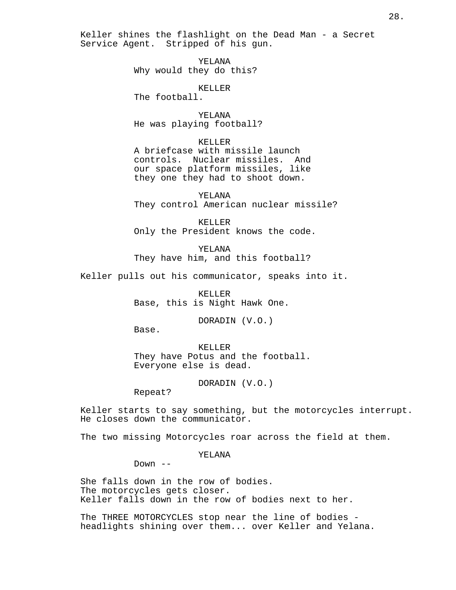Keller shines the flashlight on the Dead Man - a Secret Service Agent. Stripped of his gun.

> YELANA Why would they do this?

> > KELLER

The football.

YELANA He was playing football?

KELLER

A briefcase with missile launch controls. Nuclear missiles. And our space platform missiles, like they one they had to shoot down.

YELANA They control American nuclear missile?

KELLER Only the President knows the code.

YELANA They have him, and this football?

Keller pulls out his communicator, speaks into it.

KELLER Base, this is Night Hawk One.

DORADIN (V.O.)

Base.

KELLER They have Potus and the football. Everyone else is dead.

DORADIN (V.O.)

Repeat?

Keller starts to say something, but the motorcycles interrupt. He closes down the communicator.

The two missing Motorcycles roar across the field at them.

YELANA

 $Down$   $--$ 

She falls down in the row of bodies. The motorcycles gets closer. Keller falls down in the row of bodies next to her.

The THREE MOTORCYCLES stop near the line of bodies headlights shining over them... over Keller and Yelana.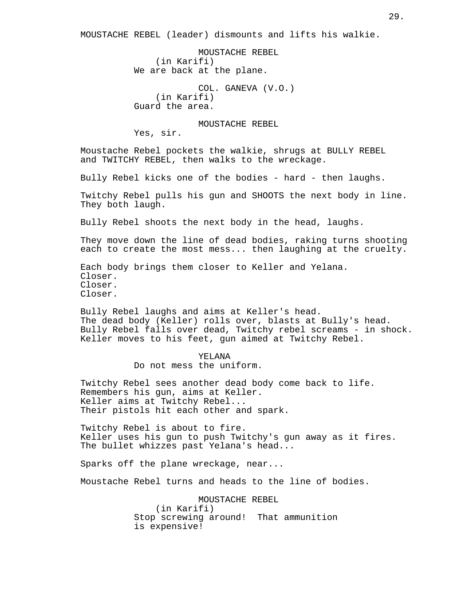MOUSTACHE REBEL (leader) dismounts and lifts his walkie.

MOUSTACHE REBEL (in Karifi) We are back at the plane.

COL. GANEVA (V.O.) (in Karifi) Guard the area.

MOUSTACHE REBEL

Yes, sir.

Moustache Rebel pockets the walkie, shrugs at BULLY REBEL and TWITCHY REBEL, then walks to the wreckage.

Bully Rebel kicks one of the bodies - hard - then laughs.

Twitchy Rebel pulls his gun and SHOOTS the next body in line. They both laugh.

Bully Rebel shoots the next body in the head, laughs.

They move down the line of dead bodies, raking turns shooting each to create the most mess... then laughing at the cruelty.

Each body brings them closer to Keller and Yelana. Closer. Closer. Closer.

Bully Rebel laughs and aims at Keller's head. The dead body (Keller) rolls over, blasts at Bully's head. Bully Rebel falls over dead, Twitchy rebel screams - in shock. Keller moves to his feet, gun aimed at Twitchy Rebel.

> YELANA Do not mess the uniform.

Twitchy Rebel sees another dead body come back to life. Remembers his gun, aims at Keller. Keller aims at Twitchy Rebel... Their pistols hit each other and spark.

Twitchy Rebel is about to fire. Keller uses his gun to push Twitchy's gun away as it fires. The bullet whizzes past Yelana's head...

Sparks off the plane wreckage, near...

Moustache Rebel turns and heads to the line of bodies.

MOUSTACHE REBEL (in Karifi) Stop screwing around! That ammunition is expensive!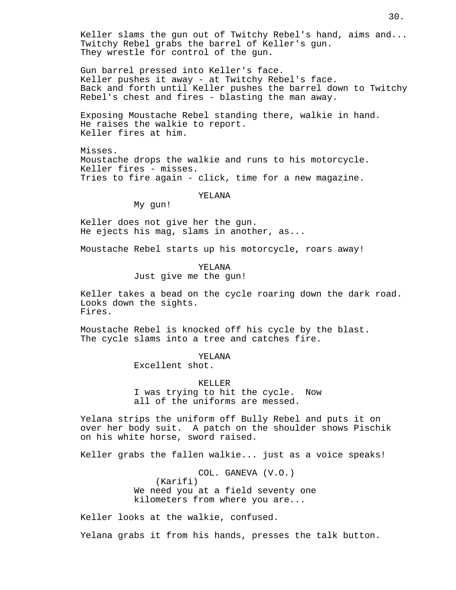Keller slams the gun out of Twitchy Rebel's hand, aims and... Twitchy Rebel grabs the barrel of Keller's gun. They wrestle for control of the gun.

Gun barrel pressed into Keller's face. Keller pushes it away - at Twitchy Rebel's face. Back and forth until Keller pushes the barrel down to Twitchy Rebel's chest and fires - blasting the man away.

Exposing Moustache Rebel standing there, walkie in hand. He raises the walkie to report. Keller fires at him.

Misses. Moustache drops the walkie and runs to his motorcycle. Keller fires - misses. Tries to fire again - click, time for a new magazine.

YELANA

My gun!

Keller does not give her the gun. He ejects his mag, slams in another, as...

Moustache Rebel starts up his motorcycle, roars away!

YELANA Just give me the gun!

Keller takes a bead on the cycle roaring down the dark road. Looks down the sights. Fires.

Moustache Rebel is knocked off his cycle by the blast. The cycle slams into a tree and catches fire.

YELANA

Excellent shot.

KELLER I was trying to hit the cycle. Now all of the uniforms are messed.

Yelana strips the uniform off Bully Rebel and puts it on over her body suit. A patch on the shoulder shows Pischik on his white horse, sword raised.

Keller grabs the fallen walkie... just as a voice speaks!

COL. GANEVA (V.O.) (Karifi) We need you at a field seventy one kilometers from where you are...

Keller looks at the walkie, confused.

Yelana grabs it from his hands, presses the talk button.